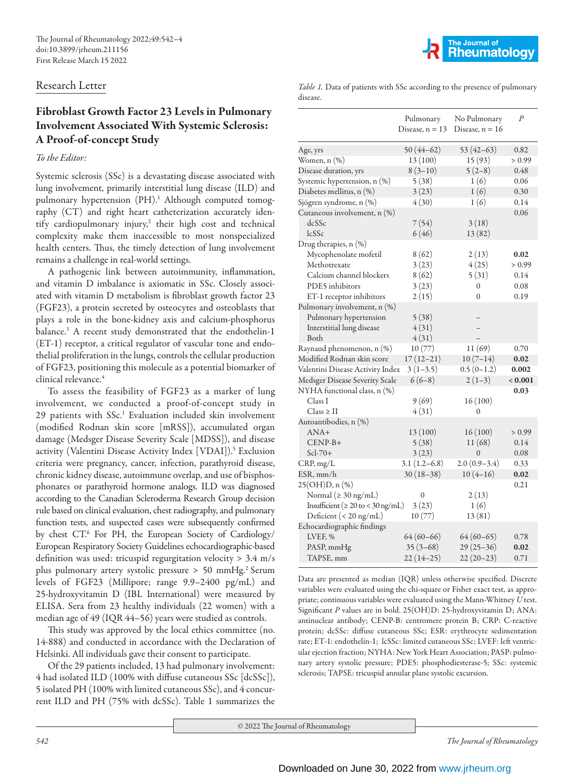## Research Letter

## Fibroblast Growth Factor 23 Levels in Pulmonary Involvement Associated With Systemic Sclerosis: A Proof-of-concept Study

## *To the Editor:*

Systemic sclerosis (SSc) is a devastating disease associated with lung involvement, primarily interstitial lung disease (ILD) and pulmonary hypertension (PH).<sup>1</sup> Although computed tomography (CT) and right heart catheterization accurately identify cardiopulmonary injury,<sup>2</sup> their high cost and technical complexity make them inaccessible to most nonspecialized health centers. Thus, the timely detection of lung involvement remains a challenge in real-world settings.

A pathogenic link between autoimmunity, inflammation, and vitamin D imbalance is axiomatic in SSc. Closely associated with vitamin D metabolism is fibroblast growth factor 23 (FGF23), a protein secreted by osteocytes and osteoblasts that plays a role in the bone-kidney axis and calcium-phosphorus balance.3 A recent study demonstrated that the endothelin-1 (ET-1) receptor, a critical regulator of vascular tone and endothelial proliferation in the lungs, controls the cellular production of FGF23, positioning this molecule as a potential biomarker of clinical relevance.<sup>4</sup>

To assess the feasibility of FGF23 as a marker of lung involvement, we conducted a proof-of-concept study in 29 patients with SSc.1 Evaluation included skin involvement (modified Rodnan skin score [mRSS]), accumulated organ damage (Medsger Disease Severity Scale [MDSS]), and disease activity (Valentini Disease Activity Index [VDAI]).5 Exclusion criteria were pregnancy, cancer, infection, parathyroid disease, chronic kidney disease, autoimmune overlap, and use of bisphosphonates or parathyroid hormone analogs. ILD was diagnosed according to the Canadian Scleroderma Research Group decision rule based on clinical evaluation, chest radiography, and pulmonary function tests, and suspected cases were subsequently confirmed by chest CT.6 For PH, the European Society of Cardiology/ European Respiratory Society Guidelines echocardiographic-based definition was used: tricuspid regurgitation velocity > 3.4 m/s plus pulmonary artery systolic pressure > 50 mmHg.<sup>2</sup> Serum levels of FGF23 (Millipore; range 9.9–2400 pg/mL) and 25-hydroxyvitamin D (IBL International) were measured by ELISA. Sera from 23 healthy individuals (22 women) with a median age of 49 (IQR 44–56) years were studied as controls.

This study was approved by the local ethics committee (no. 14-888) and conducted in accordance with the Declaration of Helsinki. All individuals gave their consent to participate.

Of the 29 patients included, 13 had pulmonary involvement: 4 had isolated ILD (100% with diffuse cutaneous SSc [dcSSc]), 5 isolated PH (100% with limited cutaneous SSc), and 4 concurrent ILD and PH (75% with dcSSc). Table 1 summarizes the



*Table 1.* Data of patients with SSc according to the presence of pulmonary disease.

|                                         | Pulmonary<br>Disease, $n = 13$ | No Pulmonary<br>Disease, $n = 16$ | $\boldsymbol{P}$ |
|-----------------------------------------|--------------------------------|-----------------------------------|------------------|
| Age, yrs                                | $50(44-62)$                    | $53(42-63)$                       | 0.82             |
| Women, n (%)                            | 13(100)                        | 15(93)                            | > 0.99           |
| Disease duration, yrs                   | $8(3-10)$                      | $5(2-8)$                          | 0.48             |
| Systemic hypertension, n (%)            | 5(38)                          | 1(6)                              | 0.06             |
| Diabetes mellitus, n (%)                | 3(23)                          | 1(6)                              | 0.30             |
| Sjögren syndrome, n (%)                 | 4(30)                          | 1(6)                              | 0.14             |
| Cutaneous involvement, n (%)            |                                |                                   | 0.06             |
| dcSSc                                   | 7(54)                          | 3(18)                             |                  |
| lcSSc                                   | 6(46)                          | 13(82)                            |                  |
| Drug therapies, n (%)                   |                                |                                   |                  |
| Mycophenolate mofetil                   | 8(62)                          | 2(13)                             | 0.02             |
| Methotrexate                            | 3(23)                          | 4(25)                             | > 0.99           |
| Calcium channel blockers                | 8(62)                          | 5(31)                             | 0.14             |
| PDE5 inhibitors                         | 3(23)                          | 0                                 | 0.08             |
| ET-1 receptor inhibitors                | 2(15)                          | $\Omega$                          | 0.19             |
| Pulmonary involvement, n (%)            |                                |                                   |                  |
| Pulmonary hypertension                  | 5(38)                          |                                   |                  |
| Interstitial lung disease               | 4(31)                          |                                   |                  |
| Both                                    | 4(31)                          |                                   |                  |
| Raynaud phenomenon, n (%)               | 10(77)                         | 11(69)                            | 0.70             |
| Modified Rodnan skin score              | $17(12-21)$                    | $10(7-14)$                        | 0.02             |
| Valentini Disease Activity Index        | $3(1-3.5)$                     | $0.5(0-1.2)$                      | 0.002            |
| Medsger Disease Severity Scale          | $6(6-8)$                       | $2(1-3)$                          | < 0.001          |
| NYHA functional class, n (%)            |                                |                                   | 0.03             |
| Class I                                 | 9(69)                          | 16(100)                           |                  |
| $Class \geq II$                         | 4(31)                          | $\overline{0}$                    |                  |
| Autoantibodies, n (%)                   |                                |                                   |                  |
| $ANA+$                                  | 13(100)                        | 16(100)                           | > 0.99           |
| $CENP-B+$                               | 5(38)                          | 11(68)                            | 0.14             |
| $Scl-70+$                               | 3(23)                          | $\Omega$                          | 0.08             |
| CRP, mg/L                               | $3.1(1.2-6.8)$                 | $2.0(0.9-3.4)$                    | 0.33             |
| ESR, mm/h                               | $30(18-38)$                    | $10(4-16)$                        | 0.02             |
| 25(OH)D, n (%)                          |                                |                                   | 0.21             |
| Normal ( $\geq 30$ ng/mL)               | 0                              | 2(13)                             |                  |
| Insufficient ( $\geq 20$ to < 30 ng/mL) | 3(23)                          | 1(6)                              |                  |
| Deficient $(< 20$ ng/mL)                | 10(77)                         | 13(81)                            |                  |
| Echocardiographic findings              |                                |                                   |                  |
| LVEF, %                                 | $64(60-66)$                    | $64(60-65)$                       | 0.78             |
| PASP, mmHg                              | $35(3-68)$                     | $29(25-36)$                       | 0.02             |
| TAPSE, mm                               | $22(14-25)$                    | $22(20-23)$                       | 0.71             |

Data are presented as median (IQR) unless otherwise specified. Discrete variables were evaluated using the chi-square or Fisher exact test, as appropriate; continuous variables were evaluated using the Mann-Whitney *U* test. Significant *P* values are in bold. 25(OH)D: 25-hydroxyvitamin D; ANA: antinuclear antibody; CENP-B: centromere protein B; CRP: C-reactive protein; dcSSc: diffuse cutaneous SSc; ESR: erythrocyte sedimentation rate; ET-1: endothelin-1; lcSSc: limited cutaneous SSc; LVEF: left ventricular ejection fraction; NYHA: New York Heart Association; PASP: pulmonary artery systolic pressure; PDE5: phosphodiesterase-5; SSc: systemic sclerosis; TAPSE: tricuspid annular plane systolic excursion.

© 2022 The Journal of Rheumatology

*542 The Journal of Rheumatology*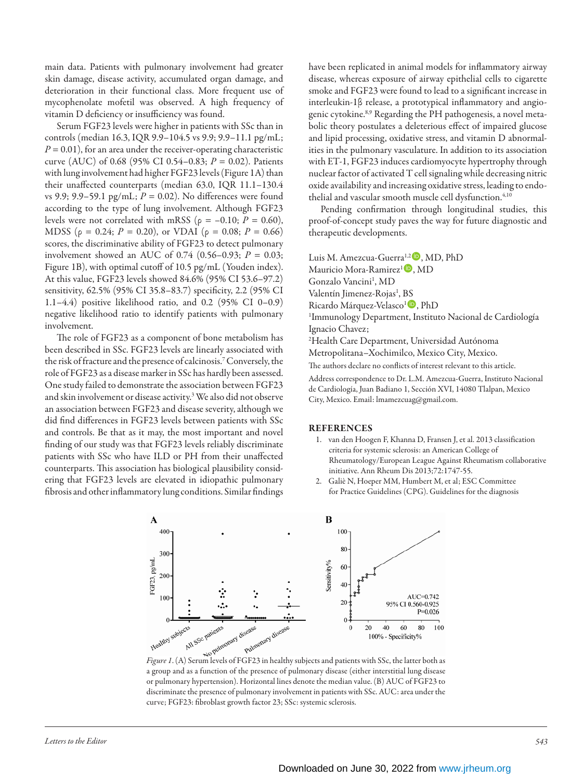main data. Patients with pulmonary involvement had greater skin damage, disease activity, accumulated organ damage, and deterioration in their functional class. More frequent use of mycophenolate mofetil was observed. A high frequency of vitamin D deficiency or insufficiency was found.

Serum FGF23 levels were higher in patients with SSc than in controls (median 16.3, IQR 9.9–104.5 vs 9.9; 9.9–11.1 pg/mL;  $P = 0.01$ ), for an area under the receiver-operating characteristic curve (AUC) of 0.68 (95% CI 0.54–0.83; *P* = 0.02). Patients with lung involvement had higher FGF23 levels (Figure 1A) than their unaffected counterparts (median 63.0, IQR 11.1–130.4 vs 9.9; 9.9–59.1 pg/mL;  $P = 0.02$ ). No differences were found according to the type of lung involvement. Although FGF23 levels were not correlated with mRSS ( $\rho = -0.10; P = 0.60$ ), MDSS ( $\rho = 0.24$ ;  $P = 0.20$ ), or VDAI ( $\rho = 0.08$ ;  $P = 0.66$ ) scores, the discriminative ability of FGF23 to detect pulmonary involvement showed an AUC of 0.74 (0.56–0.93; *P* = 0.03; Figure 1B), with optimal cutoff of 10.5 pg/mL (Youden index). At this value, FGF23 levels showed 84.6% (95% CI 53.6–97.2) sensitivity, 62.5% (95% CI 35.8–83.7) specificity, 2.2 (95% CI 1.1–4.4) positive likelihood ratio, and 0.2 (95% CI 0–0.9) negative likelihood ratio to identify patients with pulmonary involvement.

The role of FGF23 as a component of bone metabolism has been described in SSc. FGF23 levels are linearly associated with the risk of fracture and the presence of calcinosis.7 Conversely, the role of FGF23 as a disease marker in SSc has hardly been assessed. One study failed to demonstrate the association between FGF23 and skin involvement or disease activity.3 We also did not observe an association between FGF23 and disease severity, although we did find differences in FGF23 levels between patients with SSc and controls. Be that as it may, the most important and novel finding of our study was that FGF23 levels reliably discriminate patients with SSc who have ILD or PH from their unaffected counterparts. This association has biological plausibility considering that FGF23 levels are elevated in idiopathic pulmonary fibrosis and other inflammatory lung conditions. Similar findings

have been replicated in animal models for inflammatory airway disease, whereas exposure of airway epithelial cells to cigarette smoke and FGF23 were found to lead to a significant increase in interleukin-1β release, a prototypical inflammatory and angiogenic cytokine.8,9 Regarding the PH pathogenesis, a novel metabolic theory postulates a deleterious effect of impaired glucose and lipid processing, oxidative stress, and vitamin D abnormalities in the pulmonary vasculature. In addition to its association with ET-1, FGF23 induces cardiomyocyte hypertrophy through nuclear factor of activated T cell signaling while decreasing nitric oxide availability and increasing oxidative stress, leading to endothelial and vascular smooth muscle cell dysfunction.<sup>4,10</sup>

Pending confirmation through longitudinal studies, this proof-of-concept study paves the way for future diagnostic and therapeutic developments.

Luis M. Amezcua-Guerra<sup>1,2</sup><sup>(D</sup>, MD, PhD Mauricio Mora-Ramirez<sup>1</sup><sup>0</sup>, MD Gonzalo Vancini<sup>1</sup>, MD Valentín Jimenez-Rojas<sup>1</sup>, BS Ricardo Márquez-Velasco<sup>1</sup><sup>(D</sup>, PhD 1 Immunology Department, Instituto Nacional de Cardiología Ignacio Chavez; 2 Health Care Department, Universidad Autónoma Metropolitana–Xochimilco, Mexico City, Mexico. The authors declare no conflicts of interest relevant to this article. Address correspondence to Dr. L.M. Amezcua-Guerra, Instituto Nacional

de Cardiología, Juan Badiano 1, Sección XVI, 14080 Tlalpan, Mexico City, Mexico. Email: lmamezcuag@gmail.com.

## REFERENCES

- 1. van den Hoogen F, Khanna D, Fransen J, et al. 2013 classification criteria for systemic sclerosis: an American College of Rheumatology/European League Against Rheumatism collaborative initiative. Ann Rheum Dis 2013;72:1747-55.
- 2. Galiè N, Hoeper MM, Humbert M, et al; ESC Committee for Practice Guidelines (CPG). Guidelines for the diagnosis



a group and as a function of the presence of pulmonary disease (either interstitial lung disease or pulmonary hypertension). Horizontal lines denote the median value. (B) AUC of FGF23 to discriminate the presence of pulmonary involvement in patients with SSc. AUC: area under the curve; FGF23: fibroblast growth factor 23; SSc: systemic sclerosis.